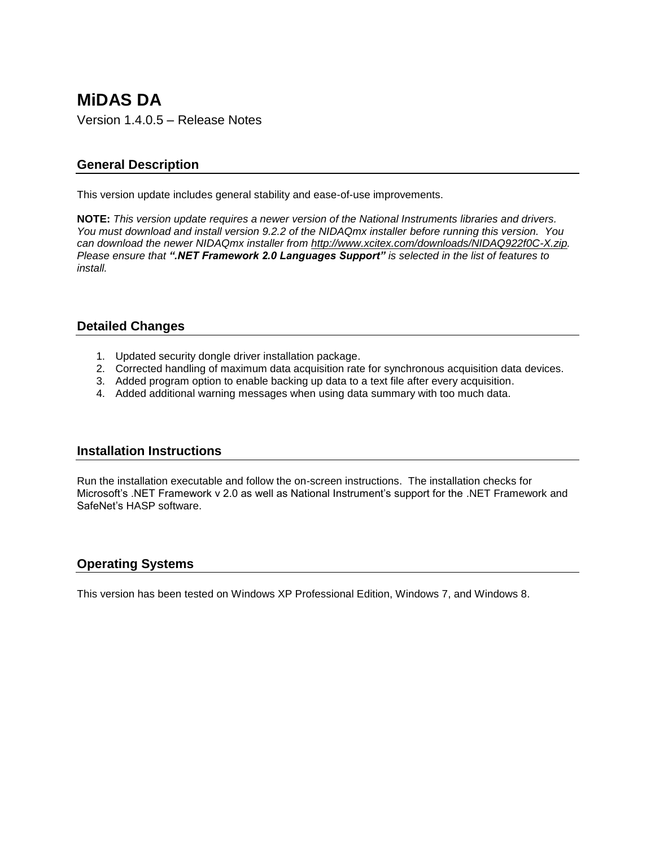# **MiDAS DA** Version 1.4.0.5 – Release Notes

# **General Description**

This version update includes general stability and ease-of-use improvements.

**NOTE:** *This version update requires a newer version of the National Instruments libraries and drivers. You must download and install version 9.2.2 of the NIDAQmx installer before running this version. You can download the newer NIDAQmx installer from [http://www.xcitex.com/downloads/NIDAQ922f0C-X.zip.](http://www.xcitex.com/downloads/NIDAQ922f0C-X.zip) Please ensure that ".NET Framework 2.0 Languages Support" is selected in the list of features to install.*

#### **Detailed Changes**

- 1. Updated security dongle driver installation package.
- 2. Corrected handling of maximum data acquisition rate for synchronous acquisition data devices.
- 3. Added program option to enable backing up data to a text file after every acquisition.
- 4. Added additional warning messages when using data summary with too much data.

#### **Installation Instructions**

Run the installation executable and follow the on-screen instructions. The installation checks for Microsoft's .NET Framework v 2.0 as well as National Instrument's support for the .NET Framework and SafeNet's HASP software.

### **Operating Systems**

This version has been tested on Windows XP Professional Edition, Windows 7, and Windows 8.